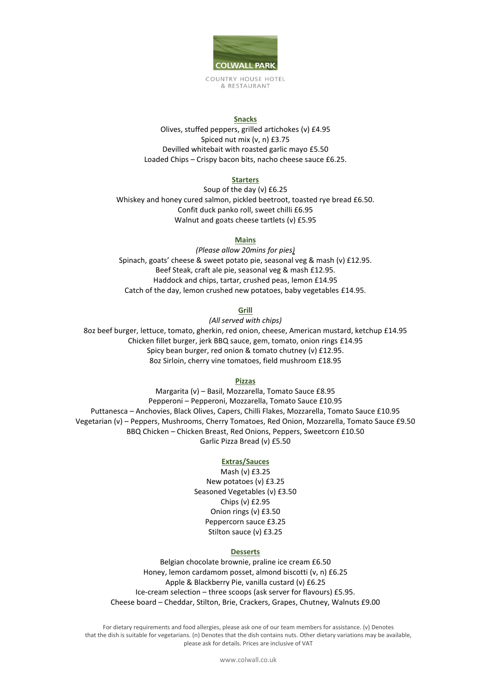

COUNTRY HOUSE HOTEL & RESTAURANT

### **Snacks**

Olives, stuffed peppers, grilled artichokes (v) £4.95 Spiced nut mix (v, n) £3.75 Devilled whitebait with roasted garlic mayo £5.50 Loaded Chips – Crispy bacon bits, nacho cheese sauce £6.25.

### **Starters**

Soup of the day (v) £6.25 Whiskey and honey cured salmon, pickled beetroot, toasted rye bread £6.50. Confit duck panko roll, sweet chilli £6.95 Walnut and goats cheese tartlets (v) £5.95

# **Mains**

*(Please allow 20mins for pies)* Spinach, goats' cheese & sweet potato pie, seasonal veg & mash (v) £12.95. Beef Steak, craft ale pie, seasonal veg & mash £12.95. Haddock and chips, tartar, crushed peas, lemon £14.95 Catch of the day, lemon crushed new potatoes, baby vegetables £14.95.

### **Grill**

*(All served with chips)*

8oz beef burger, lettuce, tomato, gherkin, red onion, cheese, American mustard, ketchup £14.95 Chicken fillet burger, jerk BBQ sauce, gem, tomato, onion rings £14.95 Spicy bean burger, red onion & tomato chutney (v) £12.95. 8oz Sirloin, cherry vine tomatoes, field mushroom £18.95

### **Pizzas**

Margarita (v) – Basil, Mozzarella, Tomato Sauce £8.95 Pepperoni – Pepperoni, Mozzarella, Tomato Sauce £10.95 Puttanesca – Anchovies, Black Olives, Capers, Chilli Flakes, Mozzarella, Tomato Sauce £10.95 Vegetarian (v) – Peppers, Mushrooms, Cherry Tomatoes, Red Onion, Mozzarella, Tomato Sauce £9.50 BBQ Chicken – Chicken Breast, Red Onions, Peppers, Sweetcorn £10.50 Garlic Pizza Bread (v) £5.50

### **Extras/Sauces**

Mash (v) £3.25 New potatoes (v) £3.25 Seasoned Vegetables (v) £3.50 Chips (v) £2.95 Onion rings (v) £3.50 Peppercorn sauce £3.25 Stilton sauce (v) £3.25

### **Desserts**

Belgian chocolate brownie, praline ice cream £6.50 Honey, lemon cardamom posset, almond biscotti (v, n) £6.25 Apple & Blackberry Pie, vanilla custard (v) £6.25 Ice-cream selection – three scoops (ask server for flavours) £5.95. Cheese board – Cheddar, Stilton, Brie, Crackers, Grapes, Chutney, Walnuts £9.00

For dietary requirements and food allergies, please ask one of our team members for assistance. (v) Denotes that the dish is suitable for vegetarians. (n) Denotes that the dish contains nuts. Other dietary variations may be available, please ask for details. Prices are inclusive of VAT